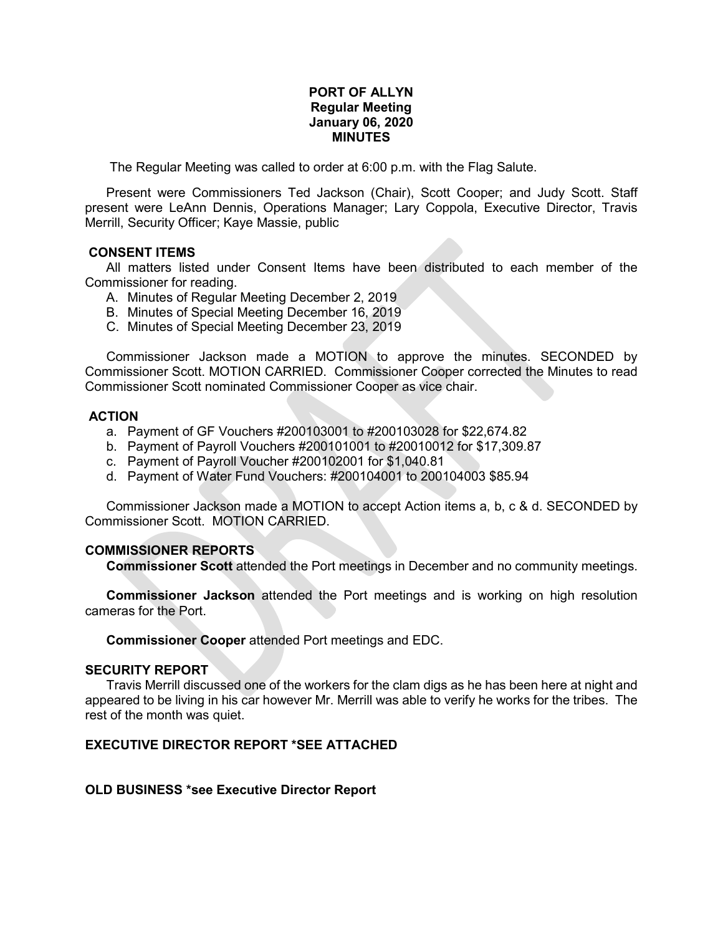# **PORT OF ALLYN Regular Meeting January 06, 2020 MINUTES**

The Regular Meeting was called to order at 6:00 p.m. with the Flag Salute.

Present were Commissioners Ted Jackson (Chair), Scott Cooper; and Judy Scott. Staff present were LeAnn Dennis, Operations Manager; Lary Coppola, Executive Director, Travis Merrill, Security Officer; Kaye Massie, public

## **CONSENT ITEMS**

All matters listed under Consent Items have been distributed to each member of the Commissioner for reading.

- A. Minutes of Regular Meeting December 2, 2019
- B. Minutes of Special Meeting December 16, 2019
- C. Minutes of Special Meeting December 23, 2019

Commissioner Jackson made a MOTION to approve the minutes. SECONDED by Commissioner Scott. MOTION CARRIED. Commissioner Cooper corrected the Minutes to read Commissioner Scott nominated Commissioner Cooper as vice chair.

# **ACTION**

- a. Payment of GF Vouchers #200103001 to #200103028 for \$22,674.82
- b. Payment of Payroll Vouchers #200101001 to #20010012 for \$17,309.87
- c. Payment of Payroll Voucher #200102001 for \$1,040.81
- d. Payment of Water Fund Vouchers: #200104001 to 200104003 \$85.94

Commissioner Jackson made a MOTION to accept Action items a, b, c & d. SECONDED by Commissioner Scott. MOTION CARRIED.

## **COMMISSIONER REPORTS**

**Commissioner Scott** attended the Port meetings in December and no community meetings.

**Commissioner Jackson** attended the Port meetings and is working on high resolution cameras for the Port.

**Commissioner Cooper** attended Port meetings and EDC.

#### **SECURITY REPORT**

Travis Merrill discussed one of the workers for the clam digs as he has been here at night and appeared to be living in his car however Mr. Merrill was able to verify he works for the tribes. The rest of the month was quiet.

# **EXECUTIVE DIRECTOR REPORT \*SEE ATTACHED**

## **OLD BUSINESS \*see Executive Director Report**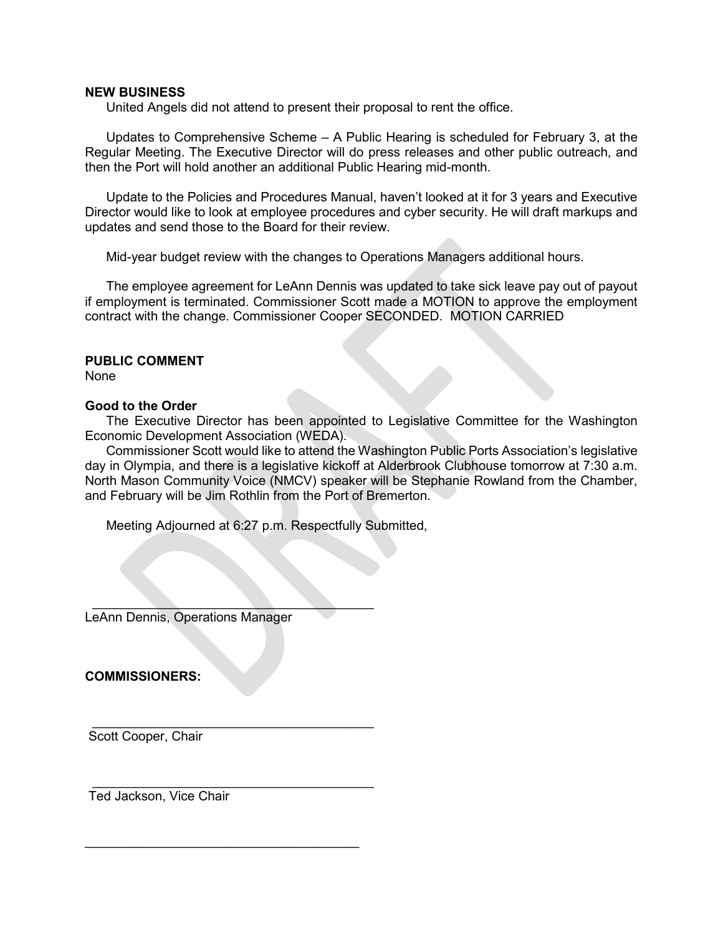#### **NEW BUSINESS**

United Angels did not attend to present their proposal to rent the office.

Updates to Comprehensive Scheme – A Public Hearing is scheduled for February 3, at the Regular Meeting. The Executive Director will do press releases and other public outreach, and then the Port will hold another an additional Public Hearing mid-month.

Update to the Policies and Procedures Manual, haven't looked at it for 3 years and Executive Director would like to look at employee procedures and cyber security. He will draft markups and updates and send those to the Board for their review.

Mid-year budget review with the changes to Operations Managers additional hours.

The employee agreement for LeAnn Dennis was updated to take sick leave pay out of payout if employment is terminated. Commissioner Scott made a MOTION to approve the employment contract with the change. Commissioner Cooper SECONDED. MOTION CARRIED

#### **PUBLIC COMMENT**

None

## **Good to the Order**

The Executive Director has been appointed to Legislative Committee for the Washington Economic Development Association (WEDA).

Commissioner Scott would like to attend the Washington Public Ports Association's legislative day in Olympia, and there is a legislative kickoff at Alderbrook Clubhouse tomorrow at 7:30 a.m. North Mason Community Voice (NMCV) speaker will be Stephanie Rowland from the Chamber, and February will be Jim Rothlin from the Port of Bremerton.

Meeting Adjourned at 6:27 p.m. Respectfully Submitted,

 $\overline{\phantom{a}}$ LeAnn Dennis, Operations Manager

**COMMISSIONERS:** 

 $\frac{1}{2}$  ,  $\frac{1}{2}$  ,  $\frac{1}{2}$  ,  $\frac{1}{2}$  ,  $\frac{1}{2}$  ,  $\frac{1}{2}$  ,  $\frac{1}{2}$  ,  $\frac{1}{2}$  ,  $\frac{1}{2}$  ,  $\frac{1}{2}$  ,  $\frac{1}{2}$  ,  $\frac{1}{2}$  ,  $\frac{1}{2}$  ,  $\frac{1}{2}$  ,  $\frac{1}{2}$  ,  $\frac{1}{2}$  ,  $\frac{1}{2}$  ,  $\frac{1}{2}$  ,  $\frac{1$ Scott Cooper, Chair

 $\frac{1}{2}$  ,  $\frac{1}{2}$  ,  $\frac{1}{2}$  ,  $\frac{1}{2}$  ,  $\frac{1}{2}$  ,  $\frac{1}{2}$  ,  $\frac{1}{2}$  ,  $\frac{1}{2}$  ,  $\frac{1}{2}$  ,  $\frac{1}{2}$  ,  $\frac{1}{2}$  ,  $\frac{1}{2}$  ,  $\frac{1}{2}$  ,  $\frac{1}{2}$  ,  $\frac{1}{2}$  ,  $\frac{1}{2}$  ,  $\frac{1}{2}$  ,  $\frac{1}{2}$  ,  $\frac{1$ Ted Jackson, Vice Chair

\_\_\_\_\_\_\_\_\_\_\_\_\_\_\_\_\_\_\_\_\_\_\_\_\_\_\_\_\_\_\_\_\_\_\_\_\_\_